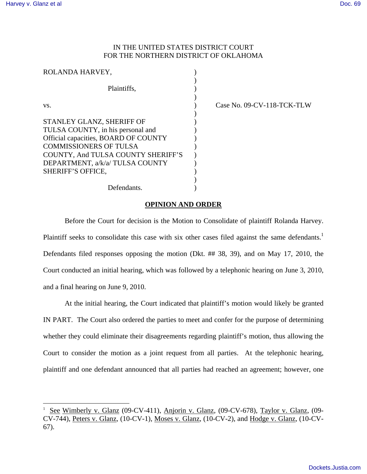$\overline{a}$ 

## IN THE UNITED STATES DISTRICT COURT FOR THE NORTHERN DISTRICT OF OKLAHOMA

| ROLANDA HARVEY,                                                       |  |
|-----------------------------------------------------------------------|--|
| Plaintiffs.                                                           |  |
| VS.                                                                   |  |
| STANLEY GLANZ, SHERIFF OF<br>TULSA COUNTY, in his personal and        |  |
| Official capacities, BOARD OF COUNTY<br><b>COMMISSIONERS OF TULSA</b> |  |
| COUNTY, And TULSA COUNTY SHERIFF'S<br>DEPARTMENT, a/k/a/TULSA COUNTY  |  |
| <b>SHERIFF'S OFFICE,</b>                                              |  |
| Defendants.                                                           |  |

) Case No. 09-CV-118-TCK-TLW

## **OPINION AND ORDER**

 Before the Court for decision is the Motion to Consolidate of plaintiff Rolanda Harvey. Plaintiff seeks to consolidate this case with six other cases filed against the same defendants.<sup>1</sup> Defendants filed responses opposing the motion (Dkt. ## 38, 39), and on May 17, 2010, the Court conducted an initial hearing, which was followed by a telephonic hearing on June 3, 2010, and a final hearing on June 9, 2010.

At the initial hearing, the Court indicated that plaintiff's motion would likely be granted IN PART. The Court also ordered the parties to meet and confer for the purpose of determining whether they could eliminate their disagreements regarding plaintiff's motion, thus allowing the Court to consider the motion as a joint request from all parties. At the telephonic hearing, plaintiff and one defendant announced that all parties had reached an agreement; however, one

<sup>1</sup> See Wimberly v. Glanz (09-CV-411), Anjorin v. Glanz, (09-CV-678), Taylor v. Glanz, (09- CV-744), Peters v. Glanz, (10-CV-1), Moses v. Glanz, (10-CV-2), and Hodge v. Glanz, (10-CV-67).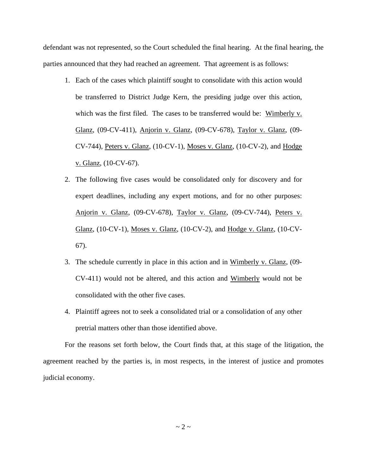defendant was not represented, so the Court scheduled the final hearing. At the final hearing, the parties announced that they had reached an agreement. That agreement is as follows:

- 1. Each of the cases which plaintiff sought to consolidate with this action would be transferred to District Judge Kern, the presiding judge over this action, which was the first filed. The cases to be transferred would be: Wimberly v. Glanz, (09-CV-411), Anjorin v. Glanz, (09-CV-678), Taylor v. Glanz, (09- CV-744), Peters v. Glanz, (10-CV-1), Moses v. Glanz, (10-CV-2), and Hodge v. Glanz, (10-CV-67).
- 2. The following five cases would be consolidated only for discovery and for expert deadlines, including any expert motions, and for no other purposes: Anjorin v. Glanz, (09-CV-678), Taylor v. Glanz, (09-CV-744), Peters v. Glanz, (10-CV-1), Moses v. Glanz, (10-CV-2), and Hodge v. Glanz, (10-CV-67).
- 3. The schedule currently in place in this action and in Wimberly v. Glanz, (09- CV-411) would not be altered, and this action and Wimberly would not be consolidated with the other five cases.
- 4. Plaintiff agrees not to seek a consolidated trial or a consolidation of any other pretrial matters other than those identified above.

For the reasons set forth below, the Court finds that, at this stage of the litigation, the agreement reached by the parties is, in most respects, in the interest of justice and promotes judicial economy.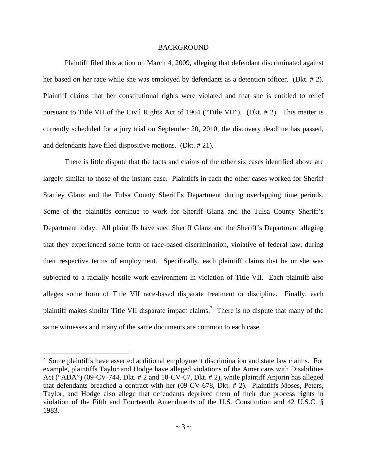## BACKGROUND

Plaintiff filed this action on March 4, 2009, alleging that defendant discriminated against her based on her race while she was employed by defendants as a detention officer. (Dkt. # 2). Plaintiff claims that her constitutional rights were violated and that she is entitled to relief pursuant to Title VII of the Civil Rights Act of 1964 ("Title VII"). (Dkt. # 2). This matter is currently scheduled for a jury trial on September 20, 2010, the discovery deadline has passed, and defendants have filed dispositive motions. (Dkt. # 21).

There is little dispute that the facts and claims of the other six cases identified above are largely similar to those of the instant case. Plaintiffs in each the other cases worked for Sheriff Stanley Glanz and the Tulsa County Sheriff's Department during overlapping time periods. Some of the plaintiffs continue to work for Sheriff Glanz and the Tulsa County Sheriff's Department today. All plaintiffs have sued Sheriff Glanz and the Sheriff's Department alleging that they experienced some form of race-based discrimination, violative of federal law, during their respective terms of employment. Specifically, each plaintiff claims that he or she was subjected to a racially hostile work environment in violation of Title VII. Each plaintiff also alleges some form of Title VII race-based disparate treatment or discipline. Finally, each plaintiff makes similar Title VII disparate impact claims.<sup>2</sup> There is no dispute that many of the same witnesses and many of the same documents are common to each case.

-

<sup>&</sup>lt;sup>2</sup> Some plaintiffs have asserted additional employment discrimination and state law claims. For example, plaintiffs Taylor and Hodge have alleged violations of the Americans with Disabilities Act ("ADA") (09-CV-744, Dkt. # 2 and 10-CV-67, Dkt. # 2), while plaintiff Anjorin has alleged that defendants breached a contract with her (09-CV-678, Dkt. # 2). Plaintiffs Moses, Peters, Taylor, and Hodge also allege that defendants deprived them of their due process rights in violation of the Fifth and Fourteenth Amendments of the U.S. Constitution and 42 U.S.C. § 1983.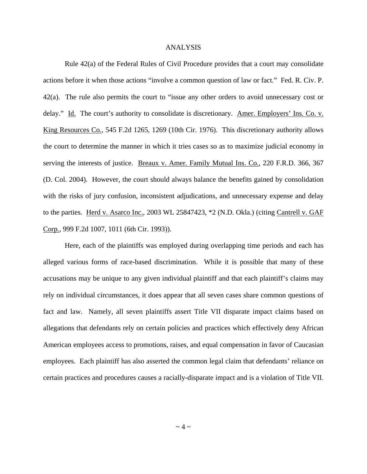## ANALYSIS

Rule 42(a) of the Federal Rules of Civil Procedure provides that a court may consolidate actions before it when those actions "involve a common question of law or fact." Fed. R. Civ. P. 42(a). The rule also permits the court to "issue any other orders to avoid unnecessary cost or delay." Id. The court's authority to consolidate is discretionary. Amer. Employers' Ins. Co. v. King Resources Co., 545 F.2d 1265, 1269 (10th Cir. 1976). This discretionary authority allows the court to determine the manner in which it tries cases so as to maximize judicial economy in serving the interests of justice. Breaux v. Amer. Family Mutual Ins. Co., 220 F.R.D. 366, 367 (D. Col. 2004). However, the court should always balance the benefits gained by consolidation with the risks of jury confusion, inconsistent adjudications, and unnecessary expense and delay to the parties. Herd v. Asarco Inc., 2003 WL 25847423,  $*2$  (N.D. Okla.) (citing Cantrell v. GAF Corp., 999 F.2d 1007, 1011 (6th Cir. 1993)).

Here, each of the plaintiffs was employed during overlapping time periods and each has alleged various forms of race-based discrimination. While it is possible that many of these accusations may be unique to any given individual plaintiff and that each plaintiff's claims may rely on individual circumstances, it does appear that all seven cases share common questions of fact and law. Namely, all seven plaintiffs assert Title VII disparate impact claims based on allegations that defendants rely on certain policies and practices which effectively deny African American employees access to promotions, raises, and equal compensation in favor of Caucasian employees. Each plaintiff has also asserted the common legal claim that defendants' reliance on certain practices and procedures causes a racially-disparate impact and is a violation of Title VII.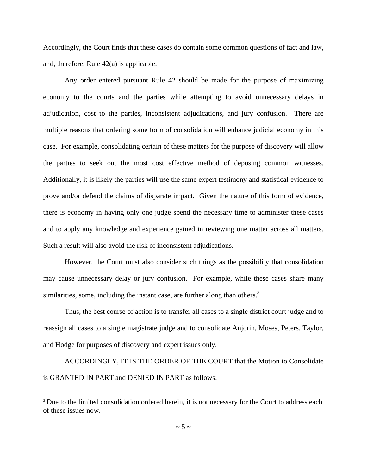Accordingly, the Court finds that these cases do contain some common questions of fact and law, and, therefore, Rule 42(a) is applicable.

 Any order entered pursuant Rule 42 should be made for the purpose of maximizing economy to the courts and the parties while attempting to avoid unnecessary delays in adjudication, cost to the parties, inconsistent adjudications, and jury confusion. There are multiple reasons that ordering some form of consolidation will enhance judicial economy in this case. For example, consolidating certain of these matters for the purpose of discovery will allow the parties to seek out the most cost effective method of deposing common witnesses. Additionally, it is likely the parties will use the same expert testimony and statistical evidence to prove and/or defend the claims of disparate impact. Given the nature of this form of evidence, there is economy in having only one judge spend the necessary time to administer these cases and to apply any knowledge and experience gained in reviewing one matter across all matters. Such a result will also avoid the risk of inconsistent adjudications.

 However, the Court must also consider such things as the possibility that consolidation may cause unnecessary delay or jury confusion. For example, while these cases share many similarities, some, including the instant case, are further along than others. $3$ 

Thus, the best course of action is to transfer all cases to a single district court judge and to reassign all cases to a single magistrate judge and to consolidate Anjorin, Moses, Peters, Taylor, and Hodge for purposes of discovery and expert issues only.

 ACCORDINGLY, IT IS THE ORDER OF THE COURT that the Motion to Consolidate is GRANTED IN PART and DENIED IN PART as follows:

-

<sup>&</sup>lt;sup>3</sup> Due to the limited consolidation ordered herein, it is not necessary for the Court to address each of these issues now.